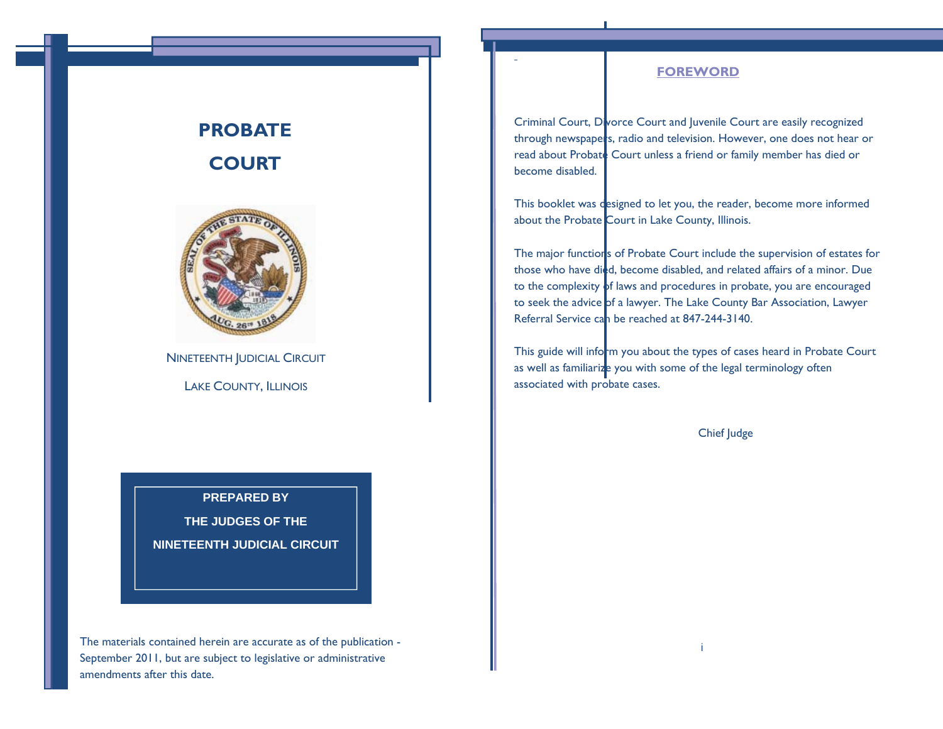#### **FOREWORD**

Criminal Court, Divorce Court and Juvenile Court are easily recognized through newspapers, radio and television. However, one does not hear or read about Probate Court unless a friend or family member has died or become disabled.

This booklet was designed to let you, the reader, become more informed about the Probate Court in Lake County, Illinois.

The major functions of Probate Court include the supervision of estates for those who have died, become disabled, and related affairs of a minor. Due to the complexity of laws and procedures in probate, you are encouraged to seek the advice of a lawyer. The Lake County Bar Association, Lawyer Referral Service ca<mark>n be reached at 847-244-3140.</mark>

This guide will inform you about the types of cases heard in Probate Court as well as familiarize you with some of the legal terminology often associated with probate cases.

i

Chief Judge

# **PROBATE COURT**



NINETEENTH JUDICIAL CIRCUIT

LAKE COUNTY, ILLINOIS

**PREPARED BY THE JUDGES OF THE NINETEENTH JUDICIAL CIRCUIT** 

The materials contained herein are accurate as of the publication - September 2011, but are subject to legislative or administrative amendments after this date.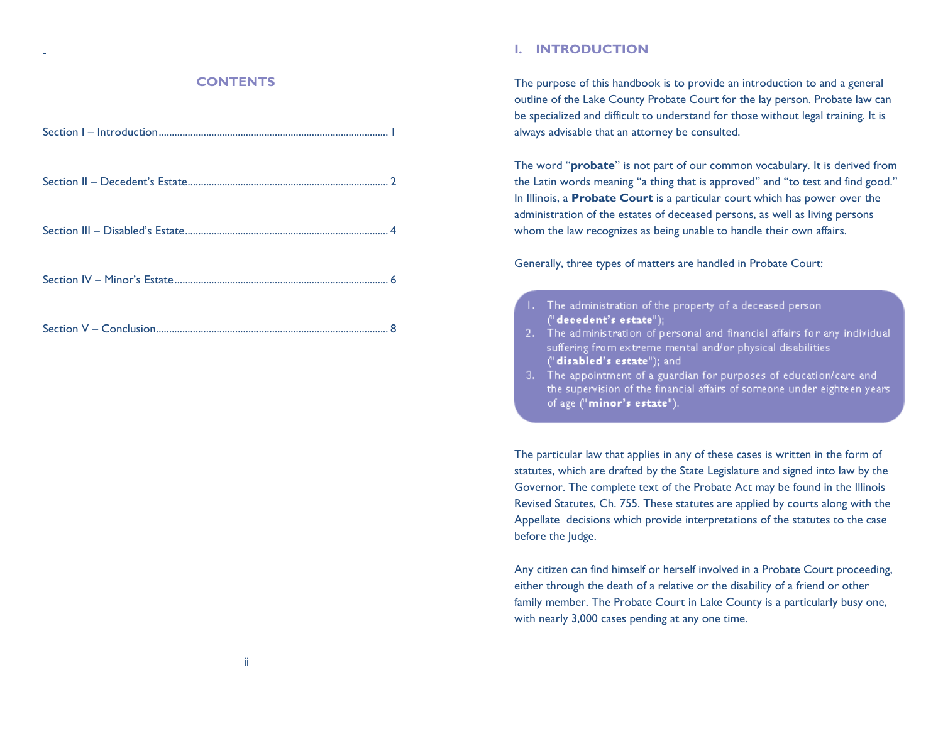## **CONTENTS**

## **I. INTRODUCTION**

The purpose of this handbook is to provide an introduction to and a general outline of the Lake County Probate Court for the lay person. Probate law can be specialized and difficult to understand for those without legal training. It is always advisable that an attorney be consulted.

The word "**probate**" is not part of our common vocabulary. It is derived from the Latin words meaning "a thing that is approved" and "to test and find good." In Illinois, a **Probate Court** is a particular court which has power over the administration of the estates of deceased persons, as well as living persons whom the law recognizes as being unable to handle their own affairs.

Generally, three types of matters are handled in Probate Court:

- 1. The administration of the property of a deceased person- $("decedent's estate");$
- 2. The administration of personal and financial affairs for any individual suffering from extreme mental and/or physical disabilities. ("disabled's estate"); and
- 3. The appointment of a guardian for purposes of education/care and the supervision of the financial affairs of someone under eighteen years. of age ("minor's estate").

The particular law that applies in any of these cases is written in the form of statutes, which are drafted by the State Legislature and signed into law by the Governor. The complete text of the Probate Act may be found in the Illinois Revised Statutes, Ch. 755. These statutes are applied by courts along with the Appellate decisions which provide interpretations of the statutes to the case before the Judge.

Any citizen can find himself or herself involved in a Probate Court proceeding, either through the death of a relative or the disability of a friend or other family member. The Probate Court in Lake County is a particularly busy one, with nearly 3,000 cases pending at any one time.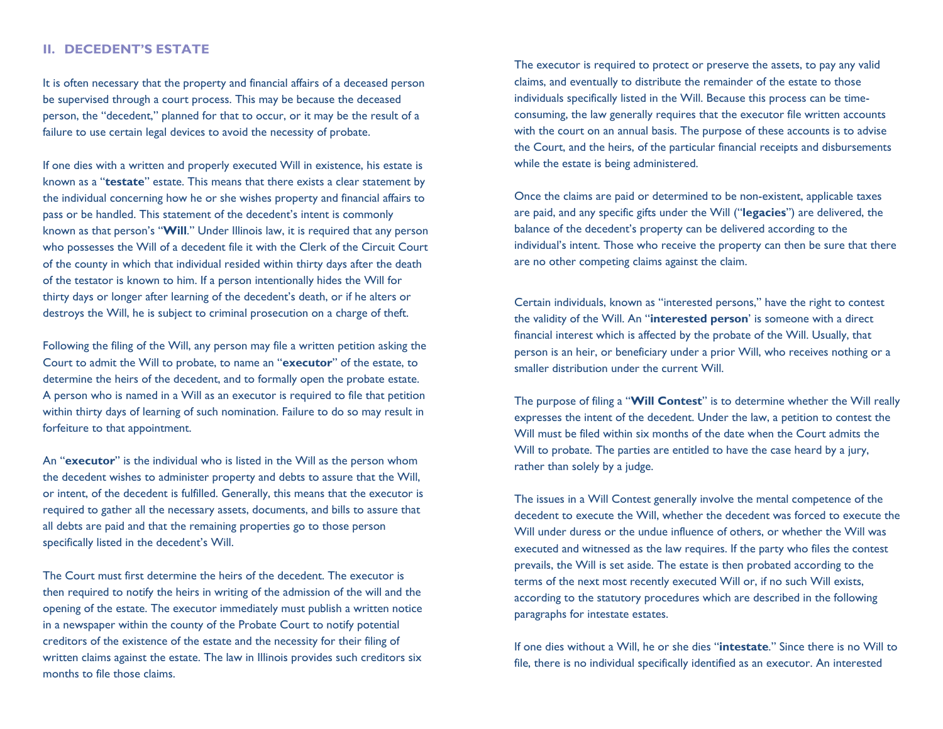### **II. DECEDENT'S ESTATE**

It is often necessary that the property and financial affairs of a deceased person be supervised through a court process. This may be because the deceased person, the "decedent," planned for that to occur, or it may be the result of a failure to use certain legal devices to avoid the necessity of probate.

If one dies with a written and properly executed Will in existence, his estate is known as a "**testate**" estate. This means that there exists a clear statement by the individual concerning how he or she wishes property and financial affairs to pass or be handled. This statement of the decedent's intent is commonly known as that person's "**Will**." Under Illinois law, it is required that any person who possesses the Will of a decedent file it with the Clerk of the Circuit Court of the county in which that individual resided within thirty days after the death of the testator is known to him. If a person intentionally hides the Will for thirty days or longer after learning of the decedent's death, or if he alters or destroys the Will, he is subject to criminal prosecution on a charge of theft.

Following the filing of the Will, any person may file a written petition asking the Court to admit the Will to probate, to name an "**executor**" of the estate, to determine the heirs of the decedent, and to formally open the probate estate. A person who is named in a Will as an executor is required to file that petition within thirty days of learning of such nomination. Failure to do so may result in forfeiture to that appointment.

An "**executor**" is the individual who is listed in the Will as the person whom the decedent wishes to administer property and debts to assure that the Will, or intent, of the decedent is fulfilled. Generally, this means that the executor is required to gather all the necessary assets, documents, and bills to assure that all debts are paid and that the remaining properties go to those person specifically listed in the decedent's Will.

The Court must first determine the heirs of the decedent. The executor is then required to notify the heirs in writing of the admission of the will and the opening of the estate. The executor immediately must publish a written notice in a newspaper within the county of the Probate Court to notify potential creditors of the existence of the estate and the necessity for their filing of written claims against the estate. The law in Illinois provides such creditors six months to file those claims.

The executor is required to protect or preserve the assets, to pay any valid claims, and eventually to distribute the remainder of the estate to those individuals specifically listed in the Will. Because this process can be timeconsuming, the law generally requires that the executor file written accounts with the court on an annual basis. The purpose of these accounts is to advise the Court, and the heirs, of the particular financial receipts and disbursements while the estate is being administered.

Once the claims are paid or determined to be non-existent, applicable taxes are paid, and any specific gifts under the Will ("**legacies**") are delivered, the balance of the decedent's property can be delivered according to the individual's intent. Those who receive the property can then be sure that there are no other competing claims against the claim.

Certain individuals, known as "interested persons," have the right to contest the validity of the Will. An "**interested person**' is someone with a direct financial interest which is affected by the probate of the Will. Usually, that person is an heir, or beneficiary under a prior Will, who receives nothing or a smaller distribution under the current Will.

The purpose of filing a "**Will Contest**" is to determine whether the Will really expresses the intent of the decedent. Under the law, a petition to contest the Will must be filed within six months of the date when the Court admits the Will to probate. The parties are entitled to have the case heard by a jury, rather than solely by a judge.

The issues in a Will Contest generally involve the mental competence of the decedent to execute the Will, whether the decedent was forced to execute the Will under duress or the undue influence of others, or whether the Will was executed and witnessed as the law requires. If the party who files the contest prevails, the Will is set aside. The estate is then probated according to the terms of the next most recently executed Will or, if no such Will exists, according to the statutory procedures which are described in the following paragraphs for intestate estates.

If one dies without a Will, he or she dies "**intestate**." Since there is no Will to file, there is no individual specifically identified as an executor. An interested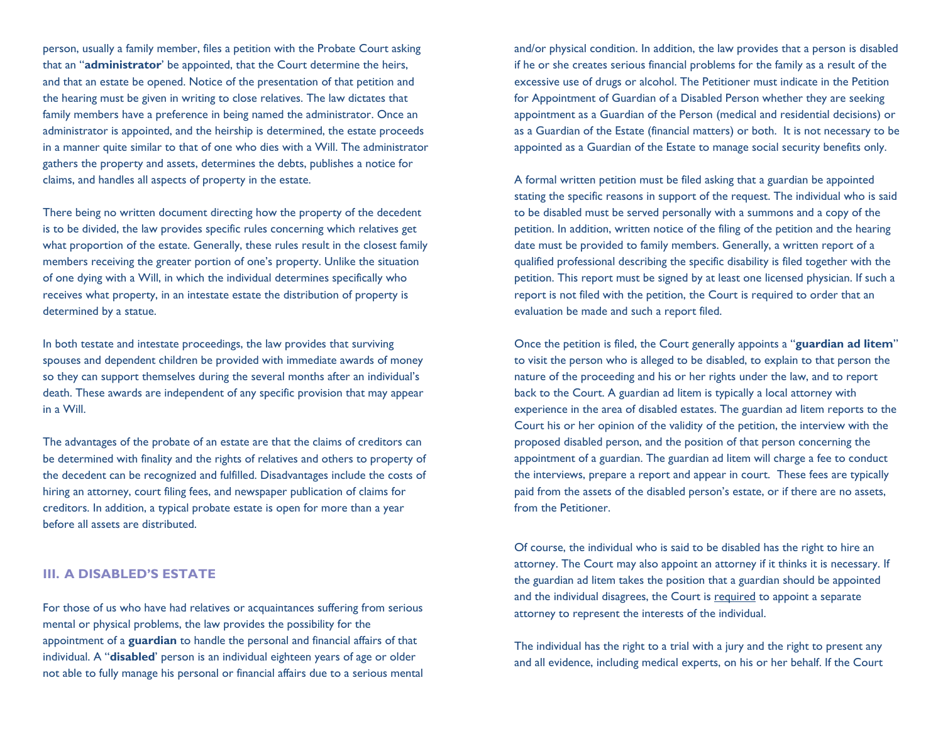person, usually a family member, files a petition with the Probate Court asking that an "**administrator**' be appointed, that the Court determine the heirs, and that an estate be opened. Notice of the presentation of that petition and the hearing must be given in writing to close relatives. The law dictates that family members have a preference in being named the administrator. Once an administrator is appointed, and the heirship is determined, the estate proceeds in a manner quite similar to that of one who dies with a Will. The administrator gathers the property and assets, determines the debts, publishes a notice for claims, and handles all aspects of property in the estate.

There being no written document directing how the property of the decedent is to be divided, the law provides specific rules concerning which relatives get what proportion of the estate. Generally, these rules result in the closest family members receiving the greater portion of one's property. Unlike the situation of one dying with a Will, in which the individual determines specifically who receives what property, in an intestate estate the distribution of property is determined by a statue.

In both testate and intestate proceedings, the law provides that surviving spouses and dependent children be provided with immediate awards of money so they can support themselves during the several months after an individual's death. These awards are independent of any specific provision that may appear in a Will.

The advantages of the probate of an estate are that the claims of creditors can be determined with finality and the rights of relatives and others to property of the decedent can be recognized and fulfilled. Disadvantages include the costs of hiring an attorney, court filing fees, and newspaper publication of claims for creditors. In addition, a typical probate estate is open for more than a year before all assets are distributed.

### **III. A DISABLED'S ESTATE**

For those of us who have had relatives or acquaintances suffering from serious mental or physical problems, the law provides the possibility for the appointment of a **guardian** to handle the personal and financial affairs of that individual. A "**disabled**' person is an individual eighteen years of age or older not able to fully manage his personal or financial affairs due to a serious mental and/or physical condition. In addition, the law provides that a person is disabled if he or she creates serious financial problems for the family as a result of the excessive use of drugs or alcohol. The Petitioner must indicate in the Petition for Appointment of Guardian of a Disabled Person whether they are seeking appointment as a Guardian of the Person (medical and residential decisions) or as a Guardian of the Estate (financial matters) or both. It is not necessary to be appointed as a Guardian of the Estate to manage social security benefits only.

A formal written petition must be filed asking that a guardian be appointed stating the specific reasons in support of the request. The individual who is said to be disabled must be served personally with a summons and a copy of the petition. In addition, written notice of the filing of the petition and the hearing date must be provided to family members. Generally, a written report of a qualified professional describing the specific disability is filed together with the petition. This report must be signed by at least one licensed physician. If such a report is not filed with the petition, the Court is required to order that an evaluation be made and such a report filed.

Once the petition is filed, the Court generally appoints a "**guardian ad litem**" to visit the person who is alleged to be disabled, to explain to that person the nature of the proceeding and his or her rights under the law, and to report back to the Court. A guardian ad litem is typically a local attorney with experience in the area of disabled estates. The guardian ad litem reports to the Court his or her opinion of the validity of the petition, the interview with the proposed disabled person, and the position of that person concerning the appointment of a guardian. The guardian ad litem will charge a fee to conduct the interviews, prepare a report and appear in court. These fees are typically paid from the assets of the disabled person's estate, or if there are no assets, from the Petitioner.

Of course, the individual who is said to be disabled has the right to hire an attorney. The Court may also appoint an attorney if it thinks it is necessary. If the guardian ad litem takes the position that a guardian should be appointed and the individual disagrees, the Court is required to appoint a separate attorney to represent the interests of the individual.

The individual has the right to a trial with a jury and the right to present any and all evidence, including medical experts, on his or her behalf. If the Court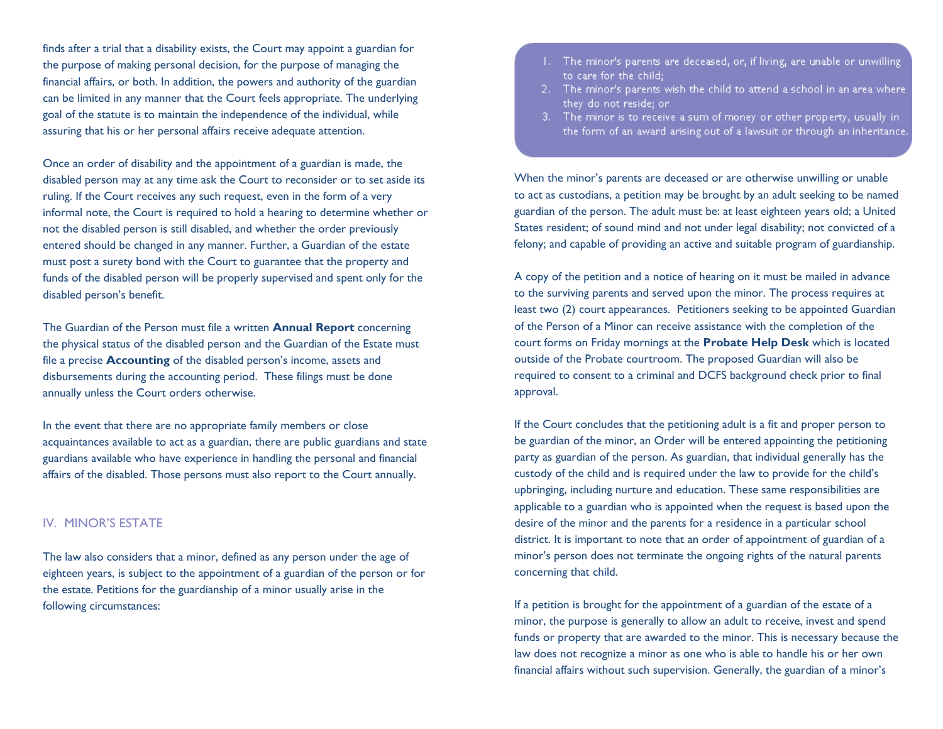finds after a trial that a disability exists, the Court may appoint a guardian for the purpose of making personal decision, for the purpose of managing the financial affairs, or both. In addition, the powers and authority of the guardian can be limited in any manner that the Court feels appropriate. The underlying goal of the statute is to maintain the independence of the individual, while assuring that his or her personal affairs receive adequate attention.

Once an order of disability and the appointment of a guardian is made, the disabled person may at any time ask the Court to reconsider or to set aside its ruling. If the Court receives any such request, even in the form of a very informal note, the Court is required to hold a hearing to determine whether or not the disabled person is still disabled, and whether the order previously entered should be changed in any manner. Further, a Guardian of the estate must post a surety bond with the Court to guarantee that the property and funds of the disabled person will be properly supervised and spent only for the disabled person's benefit.

The Guardian of the Person must file a written **Annual Report** concerning the physical status of the disabled person and the Guardian of the Estate must file a precise **Accounting** of the disabled person's income, assets and disbursements during the accounting period. These filings must be done annually unless the Court orders otherwise.

In the event that there are no appropriate family members or close acquaintances available to act as a guardian, there are public guardians and state guardians available who have experience in handling the personal and financial affairs of the disabled. Those persons must also report to the Court annually.

### IV. MINOR'S ESTATE

The law also considers that a minor, defined as any person under the age of eighteen years, is subject to the appointment of a guardian of the person or for the estate. Petitions for the guardianship of a minor usually arise in the following circumstances:

- 1. The minor's parents are deceased, or, if living, are unable or unwilling to care for the child;
- 2. The minor's parents wish the child to attend a school in an area where they do not reside; or
- 3. The minor is to receive a sum of money or other property, usually in the form of an award arising out of a lawsuit or through an inheritance.

When the minor's parents are deceased or are otherwise unwilling or unable to act as custodians, a petition may be brought by an adult seeking to be named guardian of the person. The adult must be: at least eighteen years old; a United States resident; of sound mind and not under legal disability; not convicted of a felony; and capable of providing an active and suitable program of guardianship.

A copy of the petition and a notice of hearing on it must be mailed in advance to the surviving parents and served upon the minor. The process requires at least two (2) court appearances. Petitioners seeking to be appointed Guardian of the Person of a Minor can receive assistance with the completion of the court forms on Friday mornings at the **Probate Help Desk** which is located outside of the Probate courtroom. The proposed Guardian will also be required to consent to a criminal and DCFS background check prior to final approval.

If the Court concludes that the petitioning adult is a fit and proper person to be guardian of the minor, an Order will be entered appointing the petitioning party as guardian of the person. As guardian, that individual generally has the custody of the child and is required under the law to provide for the child's upbringing, including nurture and education. These same responsibilities are applicable to a guardian who is appointed when the request is based upon the desire of the minor and the parents for a residence in a particular school district. It is important to note that an order of appointment of guardian of a minor's person does not terminate the ongoing rights of the natural parents concerning that child.

If a petition is brought for the appointment of a guardian of the estate of a minor, the purpose is generally to allow an adult to receive, invest and spend funds or property that are awarded to the minor. This is necessary because the law does not recognize a minor as one who is able to handle his or her own financial affairs without such supervision. Generally, the guardian of a minor's